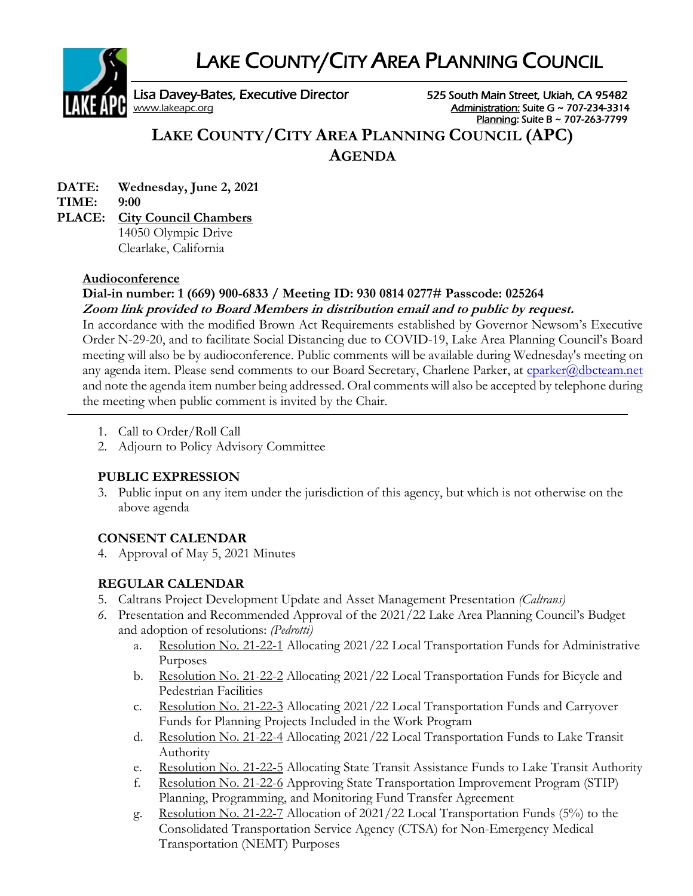LAKE COUNTY/CITY AREA PLANNING COUNCIL



Lisa Davey-Bates, Executive Director 525 South Main Street, Ukiah, CA 95482<br><u>Mahinistration:</u> Suite G ~ 707-234-3314<br>Administration: Suite G ~ 707-234-3314 Administration: Suite G ~ 707-234-3314 Planning: Suite B ~ 707-263-7799

# **LAKE COUNTY/CITY AREA PLANNING COUNCIL (APC) AGENDA**

**DATE: Wednesday, June 2, 2021 TIME: 9:00 PLACE: City Council Chambers**

14050 Olympic Drive Clearlake, California

### **Audioconference**

### **Dial-in number: 1 (669) 900-6833 / Meeting ID: 930 0814 0277# Passcode: 025264 Zoom link provided to Board Members in distribution email and to public by request.**

In accordance with the modified Brown Act Requirements established by Governor Newsom's Executive Order N-29-20, and to facilitate Social Distancing due to COVID-19, Lake Area Planning Council's Board meeting will also be by audioconference. Public comments will be available during Wednesday's meeting on any agenda item. Please send comments to our Board Secretary, Charlene Parker, at [cparker@dbcteam.net](mailto:cparker@dbcteam.net) and note the agenda item number being addressed. Oral comments will also be accepted by telephone during the meeting when public comment is invited by the Chair.

- 1. Call to Order/Roll Call
- 2. Adjourn to Policy Advisory Committee

## **PUBLIC EXPRESSION**

3. Public input on any item under the jurisdiction of this agency, but which is not otherwise on the above agenda

## **CONSENT CALENDAR**

4. Approval of May 5, 2021 Minutes

## **REGULAR CALENDAR**

- 5. Caltrans Project Development Update and Asset Management Presentation *(Caltrans)*
- *6.* Presentation and Recommended Approval of the 2021/22 Lake Area Planning Council's Budget and adoption of resolutions: *(Pedrotti)*
	- a. Resolution No. 21-22-1 Allocating 2021/22 Local Transportation Funds for Administrative Purposes
	- b. Resolution No. 21-22-2 Allocating 2021/22 Local Transportation Funds for Bicycle and Pedestrian Facilities
	- c. Resolution No. 21-22-3 Allocating 2021/22 Local Transportation Funds and Carryover Funds for Planning Projects Included in the Work Program
	- d. Resolution No. 21-22-4 Allocating 2021/22 Local Transportation Funds to Lake Transit Authority
	- e. Resolution No. 21-22-5 Allocating State Transit Assistance Funds to Lake Transit Authority
	- f. Resolution No. 21-22-6 Approving State Transportation Improvement Program (STIP) Planning, Programming, and Monitoring Fund Transfer Agreement
	- g. Resolution No. 21-22-7 Allocation of 2021/22 Local Transportation Funds (5%) to the Consolidated Transportation Service Agency (CTSA) for Non-Emergency Medical Transportation (NEMT) Purposes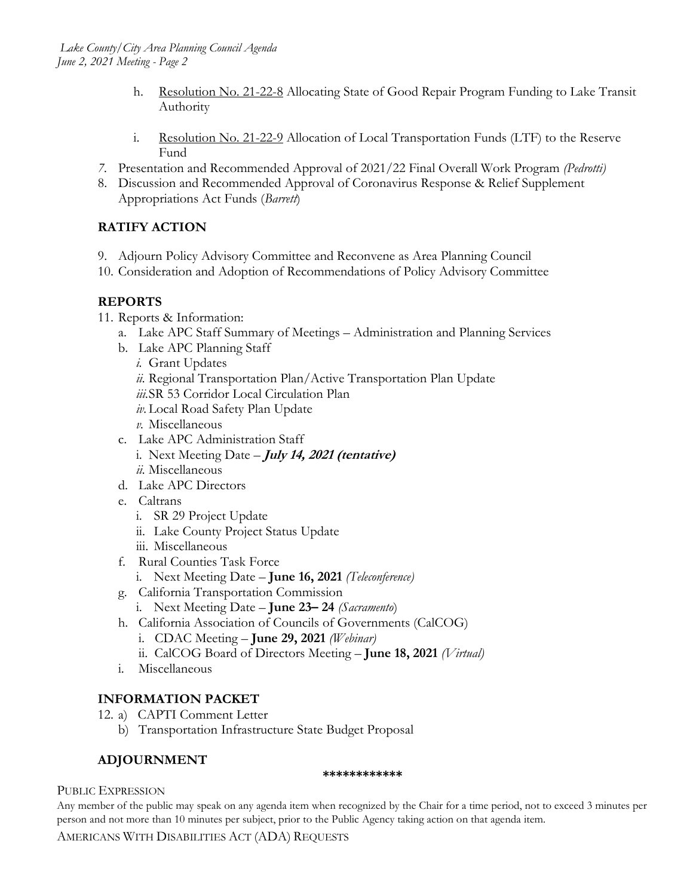- h. Resolution No. 21-22-8 Allocating State of Good Repair Program Funding to Lake Transit Authority
- i. Resolution No. 21-22-9 Allocation of Local Transportation Funds (LTF) to the Reserve Fund
- *7.* Presentation and Recommended Approval of 2021/22 Final Overall Work Program *(Pedrotti)*
- 8. Discussion and Recommended Approval of Coronavirus Response & Relief Supplement Appropriations Act Funds (*Barrett*)

## **RATIFY ACTION**

- 9. Adjourn Policy Advisory Committee and Reconvene as Area Planning Council
- 10. Consideration and Adoption of Recommendations of Policy Advisory Committee

## **REPORTS**

- 11. Reports & Information:
	- a. Lake APC Staff Summary of Meetings Administration and Planning Services
	- b. Lake APC Planning Staff
		- *i.* Grant Updates
		- *ii.* Regional Transportation Plan/Active Transportation Plan Update
		- *iii.*SR 53 Corridor Local Circulation Plan
		- *iv.*Local Road Safety Plan Update
		- *v.* Miscellaneous
	- c. Lake APC Administration Staff
		- i. Next Meeting Date **July 14, <sup>2021</sup> (tentative)** *ii.* Miscellaneous
	- d. Lake APC Directors
	- e. Caltrans
		- i. SR 29 Project Update
		- ii. Lake County Project Status Update
		- iii. Miscellaneous
	- f. Rural Counties Task Force
		- i. Next Meeting Date **June 16, 2021** *(Teleconference)*
	- g. California Transportation Commission
		- i. Next Meeting Date **June 23– 24** *(Sacramento*)
	- h. California Association of Councils of Governments (CalCOG)
		- i. CDAC Meeting **June 29, 2021** *(Webinar)*
		- ii. CalCOG Board of Directors Meeting **June 18, 2021** *(Virtual)*
	- i. Miscellaneous

## **INFORMATION PACKET**

- 12. a) CAPTI Comment Letter
	- b) Transportation Infrastructure State Budget Proposal

## **ADJOURNMENT**

#### **\*\*\*\*\*\*\*\*\*\*\*\***

#### PUBLIC EXPRESSION

Any member of the public may speak on any agenda item when recognized by the Chair for a time period, not to exceed 3 minutes per person and not more than 10 minutes per subject, prior to the Public Agency taking action on that agenda item.

AMERICANS WITH DISABILITIES ACT (ADA) REQUESTS